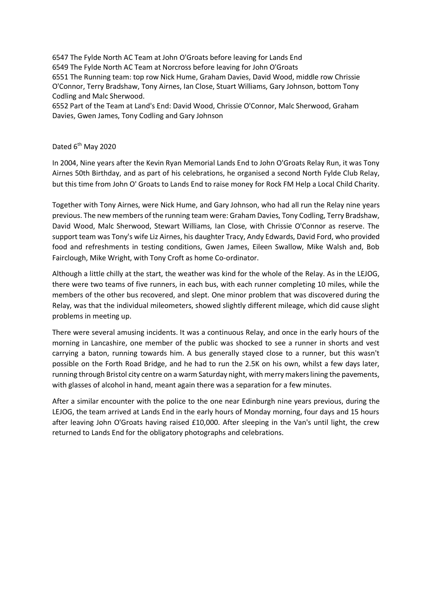6547 The Fylde North AC Team at John O'Groats before leaving for Lands End 6549 The Fylde North AC Team at Norcross before leaving for John O'Groats 6551 The Running team: top row Nick Hume, Graham Davies, David Wood, middle row Chrissie O'Connor, Terry Bradshaw, Tony Airnes, Ian Close, Stuart Williams, Gary Johnson, bottom Tony Codling and Malc Sherwood.

6552 Part of the Team at Land's End: David Wood, Chrissie O'Connor, Malc Sherwood, Graham Davies, Gwen James, Tony Codling and Gary Johnson

## Dated 6<sup>th</sup> May 2020

In 2004, Nine years after the Kevin Ryan Memorial Lands End to John O'Groats Relay Run, it was Tony Airnes 50th Birthday, and as part of his celebrations, he organised a second North Fylde Club Relay, but this time from John O' Groats to Lands End to raise money for Rock FM Help a Local Child Charity.

Together with Tony Airnes, were Nick Hume, and Gary Johnson, who had all run the Relay nine years previous. The new members of the running team were: Graham Davies, Tony Codling, Terry Bradshaw, David Wood, Malc Sherwood, Stewart Williams, Ian Close, with Chrissie O'Connor as reserve. The support team was Tony's wife Liz Airnes, his daughter Tracy, Andy Edwards, David Ford, who provided food and refreshments in testing conditions, Gwen James, Eileen Swallow, Mike Walsh and, Bob Fairclough, Mike Wright, with Tony Croft as home Co-ordinator.

Although a little chilly at the start, the weather was kind for the whole of the Relay. As in the LEJOG, there were two teams of five runners, in each bus, with each runner completing 10 miles, while the members of the other bus recovered, and slept. One minor problem that was discovered during the Relay, was that the individual mileometers, showed slightly different mileage, which did cause slight problems in meeting up.

There were several amusing incidents. It was a continuous Relay, and once in the early hours of the morning in Lancashire, one member of the public was shocked to see a runner in shorts and vest carrying a baton, running towards him. A bus generally stayed close to a runner, but this wasn't possible on the Forth Road Bridge, and he had to run the 2.5K on his own, whilst a few days later, running through Bristol city centre on a warm Saturday night, with merry makers lining the pavements, with glasses of alcohol in hand, meant again there was a separation for a few minutes.

After a similar encounter with the police to the one near Edinburgh nine years previous, during the LEJOG, the team arrived at Lands End in the early hours of Monday morning, four days and 15 hours after leaving John O'Groats having raised £10,000. After sleeping in the Van's until light, the crew returned to Lands End for the obligatory photographs and celebrations.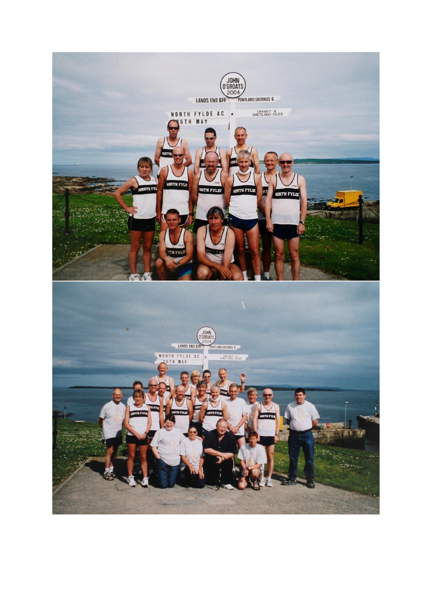